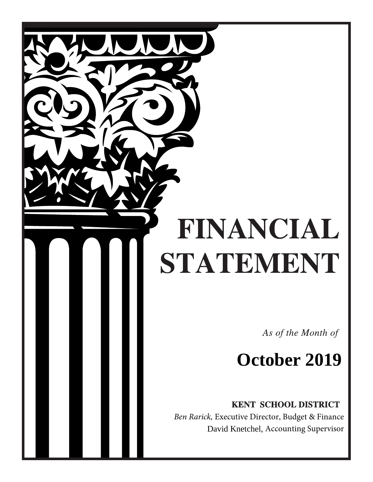# FINANCIAL STATEMENT

As of the Month of

## **October 2019**

**KENT SCHOOL DISTRICT** 

 *Ben Rarick,* Executive Director, Budget & Finance David Knetchel, Accounting Supervisor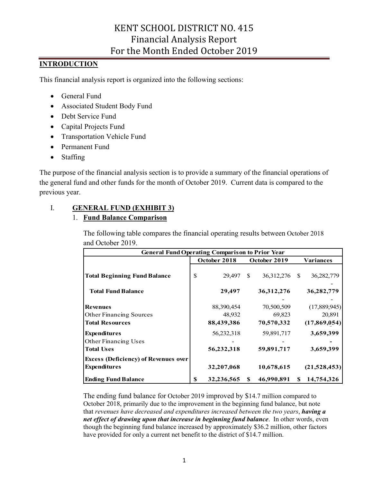## **INTRODUCTION**

This financial analysis report is organized into the following sections:

- General Fund
- Associated Student Body Fund
- Debt Service Fund
- Capital Projects Fund
- Transportation Vehicle Fund
- Permanent Fund
- Staffing

The purpose of the financial analysis section is to provide a summary of the financial operations of the general fund and other funds for the month of October 2019. Current data is compared to the previous year.

## I. **GENERAL FUND (EXHIBIT 3)**

## 1. **Fund Balance Comparison**

The following table compares the financial operating results between October 2018 and October 2019.

|                                             | <b>General Fund Operating Comparison to Prior Year</b> |              |    |               |   |              |  |  |  |
|---------------------------------------------|--------------------------------------------------------|--------------|----|---------------|---|--------------|--|--|--|
|                                             |                                                        | October 2018 |    | October 2019  |   | Variances    |  |  |  |
| <b>Total Beginning Fund Balance</b>         | \$                                                     | 29,497       | S. | 36,312,276 \$ |   | 36,282,779   |  |  |  |
| <b>Total Fund Balance</b>                   |                                                        | 29,497       |    | 36, 312, 276  |   | 36,282,779   |  |  |  |
| <b>Revenues</b>                             |                                                        | 88,390,454   |    | 70,500,509    |   | (17,889,945) |  |  |  |
| <b>Other Financing Sources</b>              |                                                        | 48,932       |    | 69,823        |   | 20,891       |  |  |  |
| <b>Total Resources</b>                      |                                                        | 88,439,386   |    | 70,570,332    |   | (17,869,054) |  |  |  |
| <b>Expenditures</b>                         |                                                        | 56,232,318   |    | 59,891,717    |   | 3,659,399    |  |  |  |
| Other Financing Uses                        |                                                        |              |    |               |   |              |  |  |  |
| <b>Total Uses</b>                           |                                                        | 56,232,318   |    | 59,891,717    |   | 3,659,399    |  |  |  |
| <b>Excess (Deficiency) of Revenues over</b> |                                                        |              |    |               |   |              |  |  |  |
| <b>Expenditures</b>                         |                                                        | 32,207,068   |    | 10,678,615    |   | (21,528,453) |  |  |  |
| <b>Ending Fund Balance</b>                  | \$                                                     | 32,236,565   | S  | 46,990,891    | S | 14,754,326   |  |  |  |

The ending fund balance for October 2019 improved by \$14.7 million compared to October 2018, primarily due to the improvement in the beginning fund balance, but note that *revenues have decreased and expenditures increased between the two years*, *having a net effect of drawing upon that increase in beginning fund balance*. In other words, even though the beginning fund balance increased by approximately \$36.2 million, other factors have provided for only a current net benefit to the district of \$14.7 million.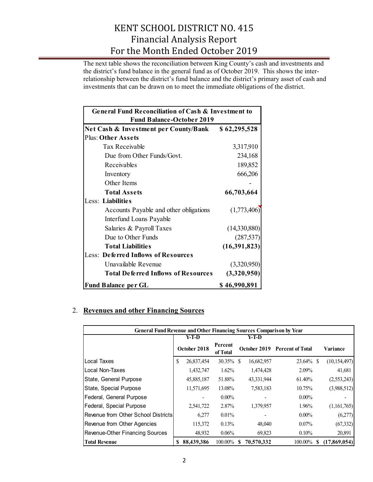The next table shows the reconciliation between King County's cash and investments and the district's fund balance in the general fund as of October 2019. This shows the interrelationship between the district's fund balance and the district's primary asset of cash and investments that can be drawn on to meet the immediate obligations of the district.

| General Fund Reconciliation of Cash & Investment to |              |  |  |  |  |  |
|-----------------------------------------------------|--------------|--|--|--|--|--|
| <b>Fund Balance-October 2019</b>                    |              |  |  |  |  |  |
| Net Cash & Investment per County/Bank               | \$62,295,528 |  |  |  |  |  |
| <b>Plus: Other Assets</b>                           |              |  |  |  |  |  |
| <b>Tax Receivable</b>                               | 3,317,910    |  |  |  |  |  |
| Due from Other Funds/Govt.                          | 234,168      |  |  |  |  |  |
| Receivables                                         | 189,852      |  |  |  |  |  |
| Inventory                                           | 666,206      |  |  |  |  |  |
| Other Items                                         |              |  |  |  |  |  |
| <b>Total Assets</b>                                 | 66,703,664   |  |  |  |  |  |
| Less: Liabilities                                   |              |  |  |  |  |  |
| Accounts Payable and other obligations              | (1,773,406)  |  |  |  |  |  |
| Interfund Loans Payable                             |              |  |  |  |  |  |
| Salaries & Payroll Taxes                            | (14,330,880) |  |  |  |  |  |
| Due to Other Funds                                  | (287, 537)   |  |  |  |  |  |
| <b>Total Liabilities</b>                            | (16,391,823) |  |  |  |  |  |
| <b>Less: Deferred Inflows of Resources</b>          |              |  |  |  |  |  |
| Unavailable Revenue                                 | (3,320,950)  |  |  |  |  |  |
| <b>Total Deferred Inflows of Resources</b>          | (3,320,950)  |  |  |  |  |  |
| <b>Fund Balance per GL</b>                          | \$46,990,891 |  |  |  |  |  |

## 2. **Revenues and other Financing Sources**

| <b>General Fund Revenue and Other Financing Sources Comparison by Year</b> |    |              |                     |    |            |                               |     |                |
|----------------------------------------------------------------------------|----|--------------|---------------------|----|------------|-------------------------------|-----|----------------|
|                                                                            |    | Y-T-D        |                     |    | Y-T-D      |                               |     |                |
|                                                                            |    | October 2018 | Percent<br>of Total |    |            | October 2019 Percent of Total |     | Variance       |
| <b>I</b> Local Taxes                                                       | S  | 26,837,454   | 30.35%              | -S | 16,682,957 | $23.64\%$ \$                  |     | (10, 154, 497) |
| ILocal Non-Taxes                                                           |    | 1,432,747    | 1.62%               |    | 1,474,428  | 2.09%                         |     | 41,681         |
| State, General Purpose                                                     |    | 45,885,187   | 51.88%              |    | 43,331,944 | 61.40%                        |     | (2,553,243)    |
| State, Special Purpose                                                     |    | 11,571,695   | 13.08%              |    | 7,583,183  | 10.75%                        |     | (3,988,512)    |
| Federal, General Purpose                                                   |    |              | $0.00\%$            |    |            | $0.00\%$                      |     |                |
| Federal, Special Purpose                                                   |    | 2,541,722    | 2.87%               |    | 1,379,957  | 1.96%                         |     | (1,161,765)    |
| <b>IRevenue from Other School Districts</b>                                |    | 6,277        | $0.01\%$            |    |            | $0.00\%$                      |     | (6,277)        |
| Revenue from Other Agencies                                                |    | 115,372      | 0.13%               |    | 48,040     | $0.07\%$                      |     | (67, 332)      |
| Revenue-Other Financing Sources                                            |    | 48,932       | 0.06%               |    | 69,823     | 0.10%                         |     | 20,891         |
| <b>Total Revenue</b>                                                       | S. | 88,439,386   | 100.00%             | S  | 70,570,332 | 100.00%                       | \$. | (17,869,054)   |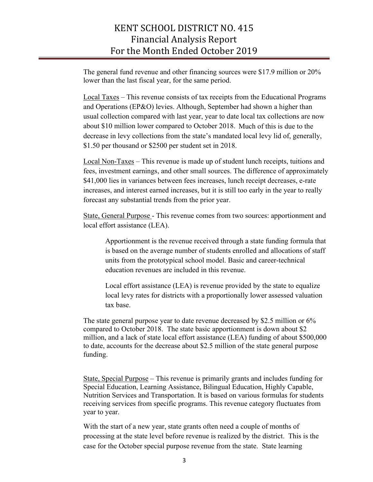The general fund revenue and other financing sources were \$17.9 million or 20% lower than the last fiscal year, for the same period.

Local Taxes – This revenue consists of tax receipts from the Educational Programs and Operations (EP&O) levies. Although, September had shown a higher than usual collection compared with last year, year to date local tax collections are now about \$10 million lower compared to October 2018. Much of this is due to the decrease in levy collections from the state's mandated local levy lid of, generally, \$1.50 per thousand or \$2500 per student set in 2018.

Local Non-Taxes – This revenue is made up of student lunch receipts, tuitions and fees, investment earnings, and other small sources. The difference of approximately \$41,000 lies in variances between fees increases, lunch receipt decreases, e-rate increases, and interest earned increases, but it is still too early in the year to really forecast any substantial trends from the prior year.

State, General Purpose - This revenue comes from two sources: apportionment and local effort assistance (LEA).

Apportionment is the revenue received through a state funding formula that is based on the average number of students enrolled and allocations of staff units from the prototypical school model. Basic and career-technical education revenues are included in this revenue.

Local effort assistance (LEA) is revenue provided by the state to equalize local levy rates for districts with a proportionally lower assessed valuation tax base.

The state general purpose year to date revenue decreased by \$2.5 million or 6% compared to October 2018. The state basic apportionment is down about \$2 million, and a lack of state local effort assistance (LEA) funding of about \$500,000 to date, accounts for the decrease about \$2.5 million of the state general purpose funding.

State, Special Purpose – This revenue is primarily grants and includes funding for Special Education, Learning Assistance, Bilingual Education, Highly Capable, Nutrition Services and Transportation. It is based on various formulas for students receiving services from specific programs. This revenue category fluctuates from year to year.

With the start of a new year, state grants often need a couple of months of processing at the state level before revenue is realized by the district. This is the case for the October special purpose revenue from the state. State learning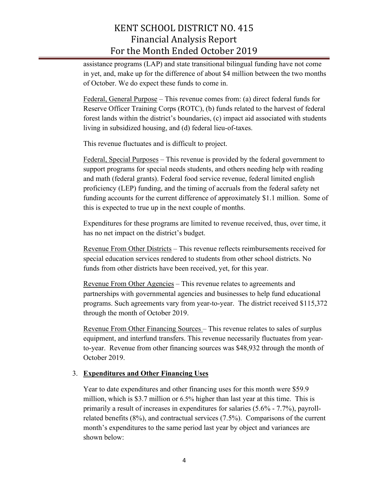assistance programs (LAP) and state transitional bilingual funding have not come in yet, and, make up for the difference of about \$4 million between the two months of October. We do expect these funds to come in.

Federal, General Purpose – This revenue comes from: (a) direct federal funds for Reserve Officer Training Corps (ROTC), (b) funds related to the harvest of federal forest lands within the district's boundaries, (c) impact aid associated with students living in subsidized housing, and (d) federal lieu-of-taxes.

This revenue fluctuates and is difficult to project.

Federal, Special Purposes – This revenue is provided by the federal government to support programs for special needs students, and others needing help with reading and math (federal grants). Federal food service revenue, federal limited english proficiency (LEP) funding, and the timing of accruals from the federal safety net funding accounts for the current difference of approximately \$1.1 million. Some of this is expected to true up in the next couple of months.

Expenditures for these programs are limited to revenue received, thus, over time, it has no net impact on the district's budget.

Revenue From Other Districts – This revenue reflects reimbursements received for special education services rendered to students from other school districts. No funds from other districts have been received, yet, for this year.

Revenue From Other Agencies – This revenue relates to agreements and partnerships with governmental agencies and businesses to help fund educational programs. Such agreements vary from year-to-year. The district received \$115,372 through the month of October 2019.

Revenue From Other Financing Sources – This revenue relates to sales of surplus equipment, and interfund transfers. This revenue necessarily fluctuates from yearto-year. Revenue from other financing sources was \$48,932 through the month of October 2019.

## 3. **Expenditures and Other Financing Uses**

Year to date expenditures and other financing uses for this month were \$59.9 million, which is \$3.7 million or 6.5% higher than last year at this time. This is primarily a result of increases in expenditures for salaries (5.6% - 7.7%), payrollrelated benefits (8%), and contractual services (7.5%). Comparisons of the current month's expenditures to the same period last year by object and variances are shown below: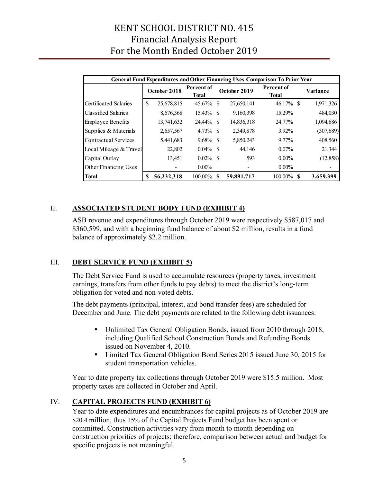|                              | <b>General Fund Expenditures and Other Financing Uses Comparison To Prior Year</b> |              |                            |    |              |                                   |           |  |  |  |
|------------------------------|------------------------------------------------------------------------------------|--------------|----------------------------|----|--------------|-----------------------------------|-----------|--|--|--|
|                              |                                                                                    | October 2018 | Percent of<br><b>Total</b> |    | October 2019 | <b>Percent of</b><br><b>Total</b> | Variance  |  |  |  |
| <b>Certificated Salaries</b> | S                                                                                  | 25,678,815   | 45.67% \$                  |    | 27,650,141   | $46.17\%$ \$                      | 1,971,326 |  |  |  |
| Classified Salaries          |                                                                                    | 8,676,368    | $15.43\%$ \$               |    | 9,160,398    | 15.29%                            | 484,030   |  |  |  |
| <b>Employee Benefits</b>     |                                                                                    | 13,741,632   | 24.44% \$                  |    | 14,836,318   | 24.77%                            | 1,094,686 |  |  |  |
| Supplies & Materials         |                                                                                    | 2,657,567    | $4.73\%$ \$                |    | 2,349,878    | 3.92%                             | (307,689) |  |  |  |
| Contractual Services         |                                                                                    | 5,441,683    | $9.68\%$ \$                |    | 5,850,243    | $9.77\%$                          | 408,560   |  |  |  |
| Local Mileage & Travel       |                                                                                    | 22,802       | $0.04\%$                   | -8 | 44.146       | $0.07\%$                          | 21,344    |  |  |  |
| Capital Outlay               |                                                                                    | 13,451       | $0.02\%$                   | -8 | 593          | $0.00\%$                          | (12, 858) |  |  |  |
| Other Financing Uses         |                                                                                    |              | $0.00\%$                   |    |              | $0.00\%$                          |           |  |  |  |
| <b>Total</b>                 |                                                                                    | 56,232,318   | 100.00%                    | -S | 59,891,717   | $100.00\%$ \$                     | 3,659,399 |  |  |  |

## II. **ASSOCIATED STUDENT BODY FUND (EXHIBIT 4)**

ASB revenue and expenditures through October 2019 were respectively \$587,017 and \$360,599, and with a beginning fund balance of about \$2 million, results in a fund balance of approximately \$2.2 million.

## III. **DEBT SERVICE FUND (EXHIBIT 5)**

The Debt Service Fund is used to accumulate resources (property taxes, investment earnings, transfers from other funds to pay debts) to meet the district's long-term obligation for voted and non-voted debts.

The debt payments (principal, interest, and bond transfer fees) are scheduled for December and June. The debt payments are related to the following debt issuances:

- Unlimited Tax General Obligation Bonds, issued from 2010 through 2018, including Qualified School Construction Bonds and Refunding Bonds issued on November 4, 2010.
- Limited Tax General Obligation Bond Series 2015 issued June 30, 2015 for student transportation vehicles.

Year to date property tax collections through October 2019 were \$15.5 million. Most property taxes are collected in October and April.

## IV. **CAPITAL PROJECTS FUND (EXHIBIT 6)**

Year to date expenditures and encumbrances for capital projects as of October 2019 are \$20.4 million, thus 15% of the Capital Projects Fund budget has been spent or committed. Construction activities vary from month to month depending on construction priorities of projects; therefore, comparison between actual and budget for specific projects is not meaningful.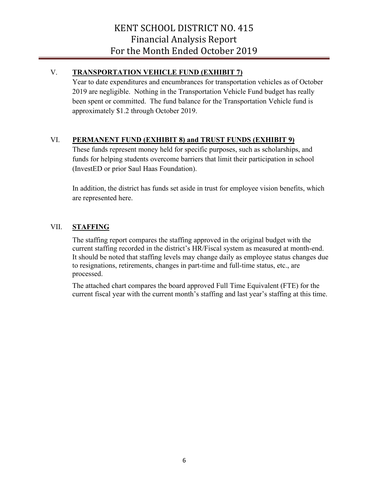## V. **TRANSPORTATION VEHICLE FUND (EXHIBIT 7)**

Year to date expenditures and encumbrances for transportation vehicles as of October 2019 are negligible. Nothing in the Transportation Vehicle Fund budget has really been spent or committed. The fund balance for the Transportation Vehicle fund is approximately \$1.2 through October 2019.

## VI. **PERMANENT FUND (EXHIBIT 8) and TRUST FUNDS (EXHIBIT 9)**

These funds represent money held for specific purposes, such as scholarships, and funds for helping students overcome barriers that limit their participation in school (InvestED or prior Saul Haas Foundation).

In addition, the district has funds set aside in trust for employee vision benefits, which are represented here.

## VII. **STAFFING**

The staffing report compares the staffing approved in the original budget with the current staffing recorded in the district's HR/Fiscal system as measured at month-end. It should be noted that staffing levels may change daily as employee status changes due to resignations, retirements, changes in part-time and full-time status, etc., are processed.

The attached chart compares the board approved Full Time Equivalent (FTE) for the current fiscal year with the current month's staffing and last year's staffing at this time.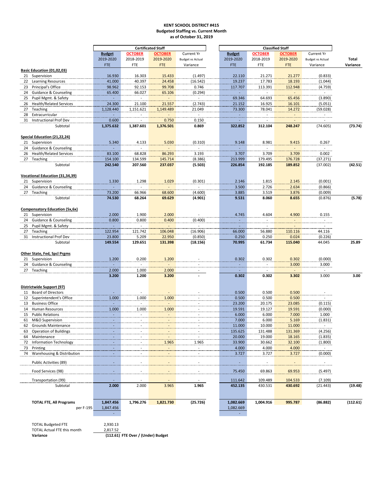#### **KENT SCHOOL DISTRICT #415 Budgeted Staffing vs. Current Month as of October 31, 2019**

|                                                                    |                                          |                                   | <b>Certificated Staff</b> |                           |                           |                           | <b>Classified Staff</b> |                          |          |
|--------------------------------------------------------------------|------------------------------------------|-----------------------------------|---------------------------|---------------------------|---------------------------|---------------------------|-------------------------|--------------------------|----------|
|                                                                    | <b>Budget</b>                            | <b>OCTOBER</b>                    | <b>OCTOBER</b>            | <b>Current Yr</b>         | <b>Budget</b>             | <b>OCTOBER</b>            | <b>OCTOBER</b>          | Current Yr               |          |
|                                                                    | 2019-2020                                | 2018-2019                         | 2019-2020                 | <b>Budget vs Actual</b>   | 2019-2020                 | 2018-2019                 | 2019-2020               | <b>Budget vs Actual</b>  | Total    |
|                                                                    | <b>FTE</b>                               | FTE                               | <b>FTE</b>                | Variance                  | <b>FTE</b>                | FTE                       | <b>FTE</b>              | Variance                 | Variance |
| Basic Education (01,02,03)                                         |                                          |                                   |                           |                           |                           |                           |                         |                          |          |
| 21 Supervision                                                     | 16.930                                   | 16.303                            | 15.433                    | (1.497)                   | 22.110                    | 21.271                    | 21.277                  | (0.833)                  |          |
| 22 Learning Resources                                              | 41.000                                   | 40.397                            | 24.458                    | (16.542)                  | 19.237                    | 17.783                    | 18.193                  | (1.044)                  |          |
| Principal's Office<br>23                                           | 98.962                                   | 92.153                            | 99.708                    | 0.746                     | 117.707<br>$\sim 10^{-1}$ | 113.391<br>$\sim 10^{-1}$ | 112.948                 | (4.759)                  |          |
| 24 Guidance & Counseling                                           | 65.400<br>$\sim$                         | 66.027<br>$\sim$                  | 65.106<br>$\sim$          | (0.294)<br>$\sim$         |                           | .                         | $\sim 10^{-1}$          | $\sim 10^{-11}$          |          |
| Pupil Mgmt. & Safety<br>25<br><b>Health/Related Services</b><br>26 | 24.300                                   |                                   |                           | (2.743)                   | 69.346<br>21.152          | 64.693                    | 65.456<br>16.101        | (3.890)                  |          |
| Teaching<br>27                                                     | 1,128.440                                | 21.100<br>1,151.621               | 21.557<br>1,149.489       | 21.049                    | 73.300                    | 16.925<br>78.041          | 14.272                  | (5.051)<br>(59.028)      |          |
| 28<br>Extracurricular                                              | $\sim 10^{-1}$                           | $\sim$                            | $\sim$                    | $\sim$                    | $\sim$                    | $\sim$                    | $\sim$                  | $\sim$ $-$               |          |
| Instructional Prof Dev<br>31                                       | 0.600                                    | $\overline{\phantom{a}}$          | 0.750                     | 0.150                     | $\sim$                    |                           |                         | $\overline{\phantom{a}}$ |          |
| Subtotal                                                           | 1,375.632                                | 1,387.601                         | 1,376.501                 | 0.869                     | 322.852                   | 312.104                   | 248.247                 | (74.605)                 | (73.74)  |
|                                                                    |                                          |                                   |                           |                           |                           |                           |                         |                          |          |
| Special Education (21,22,24)                                       |                                          |                                   |                           |                           |                           |                           |                         |                          |          |
| 21 Supervision                                                     | 5.340                                    | 4.133                             | 5.030                     | (0.310)                   | 9.148                     | 8.981                     | 9.415                   | 0.267                    |          |
| 24 Guidance & Counseling                                           | $\sim$                                   | $\overline{\phantom{a}}$          | $\overline{\phantom{a}}$  | $\sim$                    | $\sim$                    | $\sim$                    |                         | $\sim$ $-$               |          |
| 26 Health/Related Services                                         | 83.100                                   | 68.828                            | 86.293                    | 3.193                     | 3.707                     | 3.709                     | 3.709                   | 0.002                    |          |
| 27 Teaching                                                        | 154.100                                  | 134.599                           | 145.714                   | (8.386)                   | 213.999                   | 179.495                   | 176.728                 | (37.271)                 |          |
| Subtotal                                                           | 242.540                                  | 207.560                           | 237.037                   | (5.503)                   | 226.854                   | 192.185                   | 189.852                 | (37.002)                 | (42.51)  |
|                                                                    |                                          |                                   |                           |                           |                           |                           |                         |                          |          |
| Vocational Education (31,34,39)                                    |                                          |                                   |                           |                           |                           |                           |                         |                          |          |
| 21 Supervision<br>24 Guidance & Counseling                         | 1.330                                    | 1.298<br>$\overline{\phantom{a}}$ | 1.029                     | (0.301)<br>$\blacksquare$ | 2.146<br>3.500            | 1.815<br>2.726            | 2.145<br>2.634          | (0.001)<br>(0.866)       |          |
| 27 Teaching                                                        | 73.200                                   | 66.966                            | 68.600                    | (4.600)                   | 3.885                     | 3.519                     | 3.876                   | (0.009)                  |          |
| Subtotal                                                           | 74.530                                   | 68.264                            | 69.629                    | (4.901)                   | 9.531                     | 8.060                     | 8.655                   | (0.876)                  | (5.78)   |
|                                                                    |                                          |                                   |                           |                           |                           |                           |                         |                          |          |
| <b>Compensatory Education (5x,6x)</b>                              |                                          |                                   |                           |                           |                           |                           |                         |                          |          |
| 21 Supervision                                                     | 2.000                                    | 1.900                             | 2.000                     | $\blacksquare$            | 4.745                     | 4.604                     | 4.900                   | 0.155                    |          |
| 24 Guidance & Counseling                                           | 0.800                                    | 0.800                             | 0.400                     | (0.400)                   | $\sim$                    | $\overline{a}$            | $\sim$                  | $\sim$                   |          |
| 25 Pupil Mgmt. & Safety                                            | $\Delta \phi$                            | $\overline{a}$                    | $\sim$                    | $\sim$                    | $\sim$                    | $\sim$                    |                         | $\sim$                   |          |
| Teaching<br>27                                                     | 122.954                                  | 121.742                           | 106.048                   | (16.906)                  | 66.000                    | 56.880                    | 110.116                 | 44.116                   |          |
| Instructional Prof Dev<br>31                                       | 23.800                                   | 5.209                             | 22.950                    | (0.850)                   | 0.250                     | 0.250                     | 0.024                   | (0.226)                  |          |
| Subtotal                                                           | 149.554                                  | 129.651                           | 131.398                   | (18.156)                  | 70.995                    | 61.734                    | 115.040                 | 44.045                   | 25.89    |
|                                                                    |                                          |                                   |                           |                           |                           |                           |                         |                          |          |
| Other State, Fed, Spcl Prgms                                       |                                          |                                   |                           |                           |                           |                           |                         |                          |          |
| 21 Supervision                                                     | 1.200                                    | 0.200                             | 1.200                     |                           | 0.302                     | 0.302                     | 0.302                   | (0.000)                  |          |
| 24 Guidance & Counseling                                           |                                          |                                   |                           |                           |                           |                           | 3.000<br>$\sim$         | 3.000<br>$\overline{a}$  |          |
| 27 Teaching                                                        | 2.000<br>3.200                           | 1.000<br>1.200                    | 2.000<br>3.200            |                           | 0.302                     | 0.302                     | 3.302                   | 3.000                    | 3.00     |
|                                                                    |                                          |                                   |                           |                           |                           |                           |                         |                          |          |
| Districtwide Support (97)                                          |                                          |                                   |                           |                           |                           |                           |                         |                          |          |
| <b>Board of Directors</b><br>11                                    |                                          |                                   |                           |                           | 0.500                     | 0.500                     | 0.500                   |                          |          |
| 12 Superintendent's Office                                         | 1.000                                    | 1.000                             | 1.000                     |                           | 0.500                     | 0.500                     | 0.500                   | $\sim$                   |          |
| <b>Business Office</b><br>13                                       | ÷.                                       | $\overline{\phantom{a}}$          | $\sim$                    |                           | 23.200                    | 20.175                    | 23.085                  | (0.115)                  |          |
| Human Resources<br>14                                              | 1.000                                    | 1.000                             | 1.000                     |                           | 19.591                    | 19.127                    | 19.591                  | (0.000)                  |          |
| 15 Public Relations                                                | $\overline{\phantom{a}}$                 | $\overline{\phantom{a}}$          | $\blacksquare$            |                           | 6.000                     | 6.000                     | 7.000                   | 1.000                    |          |
| 61 M&O Supervision                                                 |                                          |                                   |                           |                           | 7.000                     | 6.000                     | 5.169                   | (1.831)                  |          |
| 62 Grounds Maintenance                                             |                                          |                                   |                           |                           | 11.000                    | 10.000                    | 11.000                  | $\sim$                   |          |
| <b>Operation of Buildings</b><br>63                                | $\overline{\phantom{a}}$                 |                                   |                           |                           | 135.625                   | 131.488                   | 131.369                 | (4.256)                  |          |
| Maintenance<br>64                                                  |                                          |                                   |                           |                           | 20.000                    | 19.000                    | 18.165                  | (1.835)                  |          |
| Information Technology<br>72                                       | $\sim$                                   |                                   | 1.965                     | 1.965                     | 33.900                    | 30.662                    | 32.100                  | (1.800)                  |          |
| 73<br>Printing                                                     | $\overline{\phantom{a}}$<br>$\mathbf{r}$ |                                   | $\overline{\phantom{a}}$  | $\overline{\phantom{a}}$  | 4.000                     | 4.000                     | 4.000                   | $\sim$ $-$               |          |
| Warehousing & Distribution<br>74                                   |                                          |                                   |                           | $\overline{\phantom{a}}$  | 3.727                     | 3.727                     | 3.727                   | (0.000)                  |          |
| Public Activities (89)                                             |                                          |                                   |                           |                           |                           |                           |                         | $\sim$                   |          |
|                                                                    |                                          |                                   |                           |                           |                           |                           |                         |                          |          |
| Food Services (98)                                                 | $\blacksquare$                           |                                   |                           |                           | 75.450                    | 69.863                    | 69.953                  | (5.497)                  |          |
| Transportation (99)                                                |                                          |                                   |                           |                           | 111.642                   | 109.489                   | 104.533                 | (7.109)                  |          |
| Subtotal                                                           | 2.000                                    | 2.000                             | 3.965                     | 1.965                     | 452.135                   | 430.531                   | 430.692                 | (21.443)                 | (19.48)  |
|                                                                    |                                          |                                   |                           |                           |                           |                           |                         |                          |          |
|                                                                    |                                          |                                   |                           |                           |                           |                           |                         |                          |          |
| <b>TOTAL FTE, All Programs</b>                                     | 1,847.456                                | 1,796.276                         | 1,821.730                 | (25.726)                  | 1,082.669                 | 1,004.916                 | 995.787                 | (86.882)                 | (112.61) |
| per F-195                                                          | 1,847.456<br>$\sim$                      |                                   |                           |                           | 1,082.669<br>$\sim$       |                           |                         |                          |          |
|                                                                    |                                          |                                   |                           |                           |                           |                           |                         |                          |          |
| <b>TOTAL Budgeted FTE</b>                                          | 2,930.13                                 |                                   |                           |                           |                           |                           |                         |                          |          |

TOTAL Actual FTE this month 2,817.52

**Variance (112.61) FTE Over / (Under) Budget**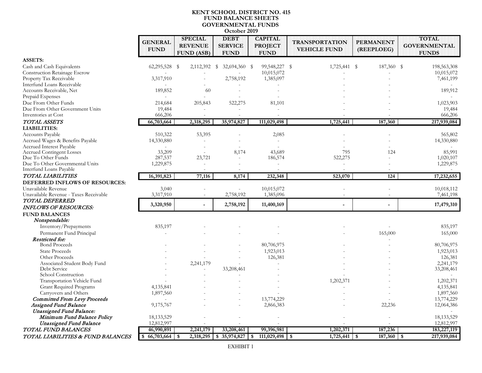#### **KENT SCHOOL DISTRICT NO. 415 FUND BALANCE SHEETS GOVERNMENTAL FUNDS October 2019**

|                                                            | <b>GENERAL</b><br><b>FUND</b> | <b>SPECIAL</b><br><b>REVENUE</b> | <b>DEBT</b><br><b>SERVICE</b> | <b>CAPITAL</b><br><b>PROJECT</b> | <b>TRANSPORTATION</b><br><b>VEHICLE FUND</b> | <b>PERMANENT</b><br>(REEPLOEG) | <b>TOTAL</b><br><b>GOVERNMENTAL</b> |
|------------------------------------------------------------|-------------------------------|----------------------------------|-------------------------------|----------------------------------|----------------------------------------------|--------------------------------|-------------------------------------|
|                                                            |                               | <b>FUND (ASB)</b>                | <b>FUND</b>                   | <b>FUND</b>                      |                                              |                                | <b>FUNDS</b>                        |
| <b>ASSETS:</b>                                             |                               |                                  |                               |                                  |                                              |                                |                                     |
| Cash and Cash Equivalents                                  | 62,295,528 \$                 | 2,112,392                        | - \$<br>32,694,360 \$         | 99,548,227 \$                    | 1,725,441 \$                                 | 187,360 \$                     | 198,563,308                         |
| Construction Retainage Escrow                              |                               |                                  |                               | 10,015,072                       |                                              |                                | 10,015,072                          |
| Property Tax Receivable                                    | 3,317,910                     |                                  | 2,758,192                     | 1,385,097                        |                                              |                                | 7,461,199                           |
| Interfund Loans Receivable                                 |                               |                                  |                               |                                  |                                              |                                |                                     |
| Accounts Receivable, Net                                   | 189,852                       | 60                               |                               |                                  |                                              |                                | 189,912                             |
| Prepaid Expenses                                           |                               |                                  |                               |                                  |                                              |                                |                                     |
| Due From Other Funds                                       | 214,684                       | 205,843                          | 522,275                       | 81,101                           |                                              |                                | 1,023,903                           |
| Due From Other Government Units                            | 19,484                        |                                  |                               |                                  |                                              |                                | 19,484                              |
| Inventories at Cost                                        | 666,206                       | $\sim$                           |                               |                                  |                                              |                                | 666,206                             |
| TOTAL ASSETS                                               | 66,703,664                    | 2,318,295                        | 35,974,827                    | 111,029,498                      | 1,725,441                                    | 187,360                        | 217,939,084                         |
| <b>LIABILITIES:</b>                                        |                               |                                  |                               |                                  |                                              |                                |                                     |
| <b>Accounts Payable</b>                                    | 510,322                       | 53,395                           |                               | 2,085                            |                                              |                                | 565,802                             |
| Accrued Wages & Benefits Payable                           | 14,330,880                    | $\overline{a}$                   |                               |                                  |                                              |                                | 14,330,880                          |
| Accrued Interest Payable                                   |                               |                                  |                               |                                  |                                              |                                |                                     |
| <b>Accrued Contingent Losses</b>                           | 33,209                        | $\sim$                           | 8,174                         | 43,689                           | 795                                          | 124                            | 85,991                              |
| Due To Other Funds                                         | 287,537                       | 23,721                           |                               | 186,574                          | 522,275                                      |                                | 1,020,107                           |
| Due To Other Governmental Units<br>Interfund Loans Payable | 1,229,875                     | $\overline{\phantom{a}}$         |                               |                                  |                                              |                                | 1,229,875                           |
| TOTAL LIABILITIES                                          | 16,391,823                    | 77,116                           | 8,174                         | 232,348                          | 523,070                                      | 124                            | 17,232,655                          |
| DEFERRED INFLOWS OF RESOURCES:                             |                               |                                  |                               |                                  |                                              |                                |                                     |
| Unavailable Revenue                                        | 3,040                         |                                  |                               | 10,015,072                       |                                              |                                | 10,018,112                          |
| Unavailable Revenue - Taxes Receivable                     | 3,317,910                     |                                  | 2,758,192                     | 1,385,096                        |                                              |                                | 7,461,198                           |
| <b>TOTAL DEFERRED</b>                                      |                               |                                  |                               |                                  |                                              |                                |                                     |
| <b>INFLOWS OF RESOURCES:</b>                               | 3,320,950                     |                                  | 2,758,192                     | 11,400,169                       |                                              |                                | 17,479,310                          |
| <b>FUND BALANCES</b>                                       |                               |                                  |                               |                                  |                                              |                                |                                     |
| Nonspendable:                                              |                               |                                  |                               |                                  |                                              |                                |                                     |
| Inventory/Prepayments                                      | 835,197                       |                                  |                               |                                  |                                              |                                | 835,197                             |
| Permanent Fund Principal                                   |                               |                                  |                               |                                  |                                              | 165,000                        | 165,000                             |
| Restricted for:                                            |                               |                                  |                               |                                  |                                              |                                |                                     |
| <b>Bond Proceeds</b>                                       |                               |                                  |                               | 80,706,975                       |                                              |                                | 80,706,975                          |
| <b>State Proceeds</b>                                      |                               |                                  |                               | 1,923,013                        |                                              |                                | 1,923,013                           |
| Other Proceeds                                             |                               |                                  |                               | 126,381                          |                                              |                                | 126,381                             |
| Associated Student Body Fund                               |                               | 2,241,179                        |                               |                                  |                                              |                                | 2,241,179                           |
| Debt Service                                               |                               |                                  | 33,208,461                    |                                  |                                              |                                | 33,208,461                          |
| School Construction                                        |                               |                                  |                               |                                  |                                              |                                |                                     |
| Transportation Vehicle Fund                                |                               |                                  |                               |                                  | 1,202,371                                    |                                | 1,202,371                           |
| <b>Grant Required Programs</b>                             | 4,135,841                     |                                  |                               |                                  |                                              |                                | 4,135,841                           |
| Carryovers and Others                                      | 1,897,560                     |                                  |                               |                                  |                                              |                                | 1,897,560                           |
| <b>Committed From Levy Proceeds</b>                        |                               |                                  |                               | 13,774,229                       |                                              |                                | 13,774,229                          |
| Assigned Fund Balance                                      | 9,175,767                     |                                  |                               | 2,866,383                        |                                              | 22,236                         | 12,064,386                          |
| <b>Unassigned Fund Balance:</b>                            |                               |                                  |                               |                                  |                                              |                                |                                     |
| Minimum Fund Balance Policy                                | 18, 133, 529                  |                                  |                               |                                  |                                              |                                | 18, 133, 529                        |
| <b>Unassigned Fund Balance</b>                             | 12,812,997                    |                                  |                               |                                  |                                              |                                | 12,812,997                          |
| TOTAL FUND BALANCES                                        | 46,990,891                    | 2,241,179                        | 33,208,461                    | 99,396,981                       | 1,202,371                                    | 187,236                        | 183,227,119                         |
| TOTAL LIABILITIES & FUND BALANCES                          | $66,703,664$ \$               | 2,318,295                        | \$35,974,827                  | 111,029,498<br>\$                | $1,725,441$ \$<br>\$                         | 187,360                        | 217,939,084<br>\$                   |

EXHIBIT 1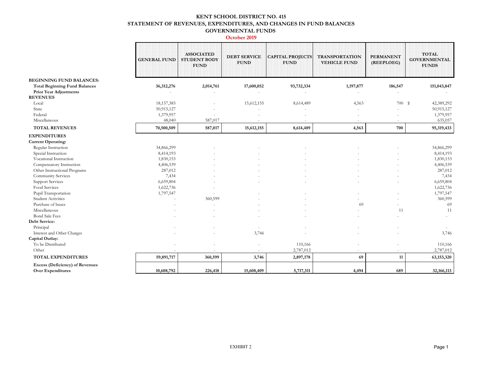#### **KENT SCHOOL DISTRICT NO. 415 STATEMENT OF REVENUES, EXPENDITURES, AND CHANGES IN FUND BALANCES GOVERNMENTAL FUNDS**

|                                                                    | <b>GENERAL FUND</b> | <b>ASSOCIATED</b><br><b>STUDENT BODY</b><br><b>FUND</b> | <b>DEBT SERVICE</b><br><b>FUND</b> | <b>CAPITAL PROJECTS</b><br><b>FUND</b> | <b>TRANSPORTATION</b><br><b>VEHICLE FUND</b> | <b>PERMANENT</b><br>(REEPLOEG) | <b>TOTAL</b><br><b>GOVERNMENTAL</b><br><b>FUNDS</b> |
|--------------------------------------------------------------------|---------------------|---------------------------------------------------------|------------------------------------|----------------------------------------|----------------------------------------------|--------------------------------|-----------------------------------------------------|
| <b>BEGINNING FUND BALANCES:</b>                                    |                     |                                                         |                                    |                                        |                                              |                                |                                                     |
| <b>Total Beginning Fund Balances</b>                               | 36,312,276          | 2,014,761                                               | 17,600,052                         | 93,732,334                             | 1,197,877                                    | 186,547                        | 151,043,847                                         |
| <b>Prior Year Adjustments</b>                                      |                     |                                                         |                                    |                                        |                                              |                                |                                                     |
| <b>REVENUES</b>                                                    |                     |                                                         |                                    |                                        |                                              |                                |                                                     |
| Local                                                              | 18,157,385          |                                                         | 15,612,155                         | 8,614,489                              | 4,563                                        | 700 \$                         | 42,389,292                                          |
| State                                                              | 50,915,127          |                                                         |                                    |                                        |                                              |                                | 50,915,127                                          |
| Federal                                                            | 1,379,957           |                                                         |                                    |                                        |                                              |                                | 1,379,957                                           |
| Miscellaneous                                                      | 48,040              | 587,017                                                 |                                    |                                        |                                              |                                | 635,057                                             |
| <b>TOTAL REVENUES</b>                                              | 70,500,509          | 587,017                                                 | 15,612,155                         | 8,614,489                              | 4,563                                        | 700                            | 95,319,433                                          |
| <b>EXPENDITURES</b>                                                |                     |                                                         |                                    |                                        |                                              |                                |                                                     |
| <b>Current Operating:</b>                                          |                     |                                                         |                                    |                                        |                                              |                                |                                                     |
| Regular Instruction                                                | 34,866,299          |                                                         |                                    |                                        |                                              |                                | 34,866,299                                          |
| Special Instruction                                                | 8,414,193           |                                                         |                                    |                                        |                                              |                                | 8,414,193                                           |
| Vocational Instruction                                             | 1,830,153           |                                                         |                                    |                                        |                                              |                                | 1,830,153                                           |
| Compensatory Instruction                                           | 4,406,539           |                                                         |                                    |                                        |                                              |                                | 4,406,539                                           |
| Other Instructional Programs                                       | 287,012             |                                                         |                                    |                                        |                                              |                                | 287,012                                             |
| Community Services                                                 | 7,434               |                                                         |                                    |                                        |                                              |                                | 7,434                                               |
| <b>Support Services</b>                                            | 6,659,804           |                                                         |                                    |                                        |                                              |                                | 6,659,804                                           |
| Food Services                                                      | 1,622,736           |                                                         |                                    |                                        |                                              |                                | 1,622,736                                           |
| Pupil Transportation                                               | 1,797,547           |                                                         |                                    |                                        |                                              |                                | 1,797,547                                           |
| <b>Student Activities</b>                                          |                     | 360,599                                                 |                                    |                                        |                                              |                                | 360,599                                             |
| Purchase of buses                                                  |                     |                                                         |                                    |                                        | 69                                           |                                | 69                                                  |
| Miscellaneous                                                      |                     |                                                         |                                    |                                        |                                              | 11                             | 11                                                  |
| <b>Bond Sale Fees</b>                                              |                     |                                                         |                                    |                                        |                                              |                                |                                                     |
| Debt Service:                                                      |                     |                                                         |                                    |                                        |                                              |                                |                                                     |
| Principal                                                          |                     |                                                         |                                    |                                        |                                              |                                |                                                     |
| Interest and Other Charges                                         |                     |                                                         | 3,746                              |                                        |                                              |                                | 3,746                                               |
| Capital Outlay:                                                    |                     |                                                         |                                    |                                        |                                              |                                |                                                     |
| To be Distributed                                                  |                     |                                                         | $\overline{\phantom{a}}$           | 110,166                                |                                              |                                | 110,166                                             |
| Other                                                              |                     |                                                         |                                    | 2,787,012                              |                                              |                                | 2,787,012                                           |
| TOTAL EXPENDITURES                                                 | 59,891,717          | 360,599                                                 | 3,746                              | 2,897,178                              | 69                                           | 11                             | 63,153,320                                          |
| <b>Excess (Deficiency) of Revenues</b><br><b>Over Expenditures</b> | 10,608,792          | 226,418                                                 | 15,608,409                         | 5,717,311                              | 4,494                                        | 689                            | 32,166,113                                          |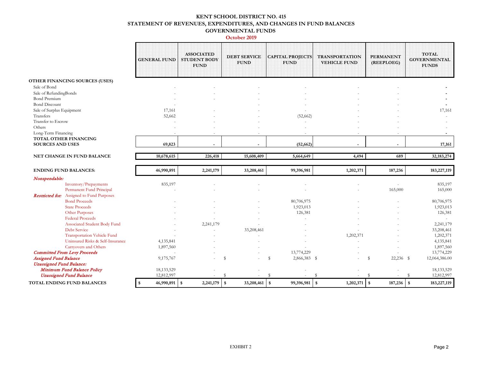#### **KENT SCHOOL DISTRICT NO. 415 STATEMENT OF REVENUES, EXPENDITURES, AND CHANGES IN FUND BALANCES GOVERNMENTAL FUNDS**

|                                                                              | <b>GENERAL FUND</b>            | <b>ASSOCIATED</b><br><b>STUDENT BODY</b><br><b>FUND</b> | <b>DEBT SERVICE</b><br><b>FUND</b> | <b>CAPITAL PROJECTS</b><br><b>FUND</b>        | <b>TRANSPORTATION</b><br><b>VEHICLE FUND</b>    | <b>PERMANENT</b><br>(REEPLOEG) | <b>TOTAL</b><br><b>GOVERNMENTAL</b><br><b>FUNDS</b>      |
|------------------------------------------------------------------------------|--------------------------------|---------------------------------------------------------|------------------------------------|-----------------------------------------------|-------------------------------------------------|--------------------------------|----------------------------------------------------------|
| OTHER FINANCING SOURCES (USES)                                               |                                |                                                         |                                    |                                               |                                                 |                                |                                                          |
| Sale of Bond                                                                 |                                |                                                         |                                    |                                               |                                                 |                                |                                                          |
| Sale of RefundingBonds                                                       |                                |                                                         |                                    |                                               |                                                 |                                |                                                          |
| <b>Bond Premium</b>                                                          |                                |                                                         |                                    |                                               |                                                 |                                |                                                          |
| <b>Bond Discount</b>                                                         |                                |                                                         |                                    |                                               |                                                 |                                |                                                          |
| Sale of Surplus Equipment                                                    | 17,161                         |                                                         |                                    |                                               |                                                 |                                | 17,161                                                   |
| Transfers                                                                    | 52,662                         |                                                         |                                    | (52,662)                                      |                                                 |                                |                                                          |
| <b>Transfer to Escrow</b>                                                    |                                |                                                         |                                    |                                               |                                                 |                                |                                                          |
| Others                                                                       |                                |                                                         |                                    |                                               |                                                 |                                |                                                          |
| Long-Term Financing                                                          |                                |                                                         |                                    |                                               |                                                 |                                |                                                          |
| TOTAL OTHER FINANCING<br><b>SOURCES AND USES</b>                             | 69,823                         | ÷                                                       | $\overline{a}$                     | (52, 662)                                     |                                                 |                                | 17,161                                                   |
|                                                                              |                                |                                                         |                                    |                                               |                                                 |                                |                                                          |
| NET CHANGE IN FUND BALANCE                                                   | 10,678,615                     | 226,418                                                 | 15,608,409                         | 5,664,649                                     | 4,494                                           | 689                            | 32, 183, 274                                             |
| <b>ENDING FUND BALANCES:</b>                                                 | 46,990,891                     | 2,241,179                                               | 33,208,461                         | 99,396,981                                    | 1,202,371                                       | 187,236                        | 183,227,119                                              |
|                                                                              |                                |                                                         |                                    |                                               |                                                 |                                |                                                          |
|                                                                              |                                |                                                         |                                    |                                               |                                                 |                                |                                                          |
| Nonspendable:                                                                |                                |                                                         |                                    |                                               |                                                 |                                |                                                          |
| Inventory/Prepayments                                                        | 835,197                        |                                                         |                                    |                                               |                                                 |                                | 835,197                                                  |
| Permanent Fund Principal<br><b>Restricted for:</b> Assigned to Fund Purposes |                                |                                                         |                                    |                                               |                                                 | 165,000                        | 165,000                                                  |
| <b>Bond Proceeds</b>                                                         |                                |                                                         |                                    | 80,706,975                                    |                                                 |                                | 80,706,975                                               |
| <b>State Proceeds</b>                                                        |                                |                                                         |                                    | 1,923,013                                     |                                                 |                                | 1,923,013                                                |
| Other Purposes                                                               |                                |                                                         |                                    | 126,381                                       |                                                 |                                | 126,381                                                  |
| <b>Federal Proceeds</b>                                                      |                                |                                                         |                                    |                                               |                                                 |                                |                                                          |
| Associated Student Body Fund                                                 |                                | 2,241,179                                               |                                    |                                               |                                                 |                                | 2,241,179                                                |
| <b>Debt Service</b>                                                          |                                |                                                         | 33,208,461                         |                                               |                                                 |                                | 33,208,461                                               |
| <b>Transportation Vehicle Fund</b>                                           |                                |                                                         |                                    |                                               | 1,202,371                                       |                                | 1,202,371                                                |
| Uninsured Risks & Self-Insurance                                             | 4,135,841                      |                                                         |                                    |                                               |                                                 |                                | 4,135,841                                                |
| Carryovers and Others                                                        | 1,897,560                      |                                                         |                                    |                                               |                                                 |                                | 1,897,560                                                |
| <b>Committed From Levy Proceeds</b>                                          |                                |                                                         |                                    | 13,774,229                                    |                                                 |                                | 13,774,229                                               |
| <b>Assigned Fund Balance</b>                                                 | 9,175,767                      |                                                         | $\mathbf{\hat{s}}$                 | $\mathbb{S}$<br>2,866,383 \$                  |                                                 | 22,236 \$<br>s                 | 12,064,386.00                                            |
| <b>Unassigned Fund Balance:</b>                                              |                                |                                                         |                                    |                                               |                                                 |                                |                                                          |
| Minimum Fund Balance Policy                                                  | 18,133,529                     |                                                         |                                    |                                               |                                                 |                                | 18,133,529                                               |
| <b>Unassigned Fund Balance</b><br>TOTAL ENDING FUND BALANCES                 | 12,812,997<br>46,990,891<br>\$ | 2,241,179<br>\$                                         | £.<br>33,208,461<br>$\mathbf{s}$   | -S<br>$\boldsymbol{\mathsf{s}}$<br>99,396,981 | $\mathbf{\hat{s}}$<br>$\mathsf{I}$<br>1,202,371 | s<br>187,236<br>\$             | 12,812,997<br><sup>\$</sup><br>$\sqrt{3}$<br>183,227,119 |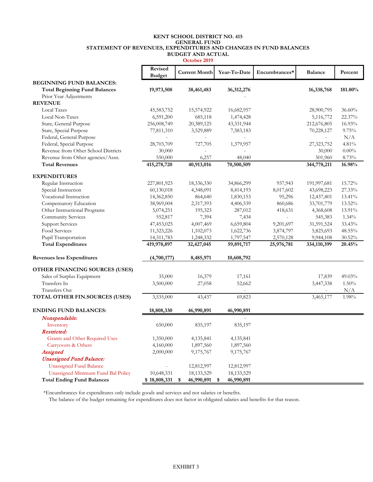#### **KENT SCHOOL DISTRICT NO. 415 STATEMENT OF REVENUES, EXPENDITURES AND CHANGES IN FUND BALANCES BUDGET AND ACTUAL GENERAL FUND**

|                                      |                          | October 2019         |                  |               |                          |           |
|--------------------------------------|--------------------------|----------------------|------------------|---------------|--------------------------|-----------|
|                                      | Revised<br><b>Budget</b> | <b>Current Month</b> | Year-To-Date     | Encumbrances* | <b>Balance</b>           | Percent   |
| <b>BEGINNING FUND BALANCES:</b>      |                          |                      |                  |               |                          |           |
| <b>Total Beginning Fund Balances</b> | 19,973,508               | 38,461,483           | 36,312,276       |               | 16,338,768               | 181.80%   |
| Prior Year Adjustments               |                          |                      |                  |               |                          |           |
| <b>REVENUE</b>                       |                          |                      |                  |               |                          |           |
| <b>Local Taxes</b>                   | 45,583,752               | 15,574,922           | 16,682,957       |               | 28,900,795               | 36.60%    |
| Local Non-Taxes                      | 6,591,200                | 685,118              | 1,474,428        |               | 5,116,772                | 22.37%    |
| State, General Purpose               | 256,008,749              | 20,389,125           | 43,331,944       |               | 212,676,805              | 16.93%    |
| State, Special Purpose               | 77,811,310               | 3,529,889            | 7,583,183        |               | 70,228,127               | 9.75%     |
| Federal, General Purpose             |                          |                      |                  |               |                          | N/A       |
| Federal, Special Purpose             | 28,703,709               | 727,705              | 1,379,957        |               | 27,323,752               | 4.81%     |
| Revenue from Other School Districts  | 30,000                   |                      |                  |               | 30,000                   | $0.00\%$  |
| Revenue from Other agencies/Assn.    | 550,000                  | 6,257                | 48,040           |               | 501,960                  | 8.73%     |
| <b>Total Revenues</b>                | 415,278,720              | 40,913,016           | 70,500,509       |               | 344,778,211              | 16.98%    |
| <b>EXPENDITURES</b>                  |                          |                      |                  |               |                          |           |
| Regular Instruction                  | 227,801,923              | 18,336,330           | 34,866,299       | 937,943       | 191,997,681              | 15.72%    |
| Special Instruction                  | 60,130,018               | 4,348,091            | 8,414,193        | 8,017,602     | 43,698,223               | 27.33%    |
| Vocational Instruction               | 14,362,850               | 864,640              | 1,830,153        | 95,296        | 12,437,401               | 13.41%    |
| Compensatory Education               | 38,969,004               | 2,317,393            | 4,406,539        | 860,686       | 33,701,779               | 13.52%    |
| Other Instructional Programs         | 5,074,251                | 195,323              | 287,012          | 418,631       | 4,368,608                | 13.91%    |
| Community Services                   | 552,817                  | 7,394                | 7,434            |               | 545,383                  | 1.34%     |
| <b>Support Services</b>              | 47,453,025               | 4,007,469            | 6,659,804        | 9,201,697     | 31,591,524               | 33.43%    |
| Food Services                        | 11,323,226               | 1,102,073            | 1,622,736        | 3,874,797     | 5,825,693                | 48.55%    |
| Pupil Transportation                 | 14,311,783               | 1,248,332            | 1,797,547        | 2,570,128     | 9,944,108                | $30.52\%$ |
| <b>Total Expenditures</b>            | 419,978,897              | 32,427,045           | 59,891,717       | 25,976,781    | 334,110,399              | 20.45%    |
| <b>Revenues less Expenditures</b>    | (4,700,177)              | 8,485,971            | 10,608,792       |               |                          |           |
| OTHER FINANCING SOURCES (USES)       |                          |                      |                  |               |                          |           |
| Sales of Surplus Equipment           | 35,000                   | 16,379               | 17,161           |               | 17,839                   | 49.03%    |
| Transfers In                         | 3,500,000                | 27,058               | 52,662           |               | 3,447,338                | 1.50%     |
| Transfers Out                        |                          |                      |                  |               | $\overline{\phantom{0}}$ | N/A       |
| TOTAL OTHER FIN.SOURCES (USES)       | 3,535,000                | 43,437               | 69,823           |               | 3,465,177                | 1.98%     |
| <b>ENDING FUND BALANCES:</b>         | 18,808,330               | 46,990,891           | 46,990,891       |               |                          |           |
| Nonspendable:                        |                          |                      |                  |               |                          |           |
| Inventory                            | 650,000                  | 835,197              | 835,197          |               |                          |           |
| Restricted:                          |                          |                      |                  |               |                          |           |
| Grants and Other Required Uses       | 1,350,000                | 4,135,841            | 4,135,841        |               |                          |           |
| Carryovers & Others                  | 4,160,000                | 1,897,560            | 1,897,560        |               |                          |           |
| Assigned                             | 2,000,000                | 9,175,767            | 9,175,767        |               |                          |           |
| <b>Unassigned Fund Balance:</b>      |                          |                      |                  |               |                          |           |
| <b>Unassigned Fund Balance</b>       |                          | 12,812,997           | 12,812,997       |               |                          |           |
| Unassigned Minimum Fund Bal Policy   | 10,648,331               | 18, 133, 529         | 18, 133, 529     |               |                          |           |
| <b>Total Ending Fund Balances</b>    | \$18,808,331             | \$<br>46,990,891     | \$<br>46,990,891 |               |                          |           |

\*Encumbrances for expenditures only include goods and services and not salaries or benefits.

The balance of the budget remaining for expenditures does not factor in obligated salaries and benefits for that reason.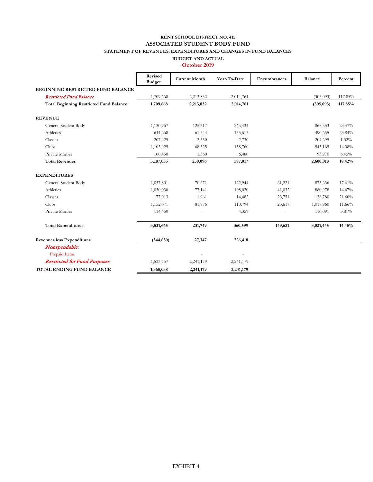## **KENT SCHOOL DISTRICT NO. 415 ASSOCIATED STUDENT BODY FUND**

**STATEMENT OF REVENUES, EXPENDITURES AND CHANGES IN FUND BALANCES**

**BUDGET AND ACTUAL**

|                                                | Revised<br><b>Budget</b> | <b>Current Month</b> | Year-To-Date | Encumbrances | <b>Balance</b> | Percent |
|------------------------------------------------|--------------------------|----------------------|--------------|--------------|----------------|---------|
| BEGINNING RESTRICTED FUND BALANCE              |                          |                      |              |              |                |         |
| <b>Restricted Fund Balance</b>                 | 1,709,668                | 2,213,832            | 2,014,761    |              | (305,093)      | 117.85% |
| <b>Total Beginning Restricted Fund Balance</b> | 1,709,668                | 2,213,832            | 2,014,761    |              | (305, 093)     | 117.85% |
| <b>REVENUE</b>                                 |                          |                      |              |              |                |         |
| General Student Body                           | 1,130,967                | 125,317              | 265,434      |              | 865,533        | 23.47%  |
| Athletics                                      | 644,268                  | 61,544               | 153,613      |              | 490,655        | 23.84%  |
| Classes                                        | 207,425                  | 2,550                | 2,730        |              | 204,695        | 1.32%   |
| Clubs                                          | 1,103,925                | 68,325               | 158,760      |              | 945,165        | 14.38%  |
| Private Monies                                 | 100,450                  | 1,360                | 6,480        |              | 93,970         | 6.45%   |
| <b>Total Revenues</b>                          | 3,187,035                | 259,096              | 587,017      |              | 2,600,018      | 18.42%  |
| <b>EXPENDITURES</b>                            |                          |                      |              |              |                |         |
| General Student Body                           | 1,057,801                | 70,671               | 122,944      | 61,221       | 873,636        | 17.41%  |
| Athletics                                      | 1,030,030                | 77,141               | 108,020      | 41,032       | 880,978        | 14.47%  |
| Classes                                        | 177,013                  | 1,961                | 14,482       | 23,751       | 138,780        | 21.60%  |
| Clubs                                          | 1,152,371                | 81,976               | 110,794      | 23,617       | 1,017,960      | 11.66%  |
| Private Monies                                 | 114,450                  |                      | 4,359        |              | 110,091        | 3.81%   |
| <b>Total Expenditures</b>                      | 3,531,665                | 231,749              | 360,599      | 149,621      | 3,021,445      | 14.45%  |
| <b>Revenues less Expenditures</b>              | (344, 630)               | 27,347               | 226,418      |              |                |         |
| Nonspendable:                                  |                          |                      |              |              |                |         |
| Prepaid Items                                  |                          |                      |              |              |                |         |
| <b>Restricted for Fund Purposes</b>            | 1,533,757                | 2,241,179            | 2,241,179    |              |                |         |
| <b>TOTAL ENDING FUND BALANCE</b>               | 1,365,038                | 2,241,179            | 2,241,179    |              |                |         |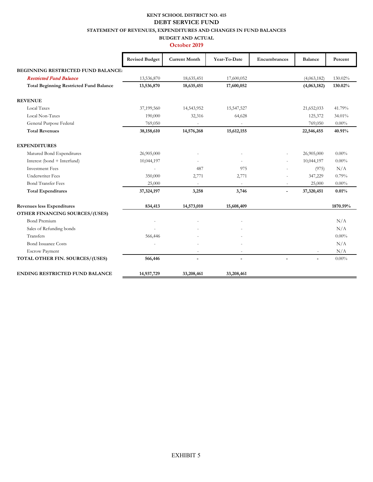## **KENT SCHOOL DISTRICT NO. 415 DEBT SERVICE FUND**

**STATEMENT OF REVENUES, EXPENDITURES AND CHANGES IN FUND BALANCES**

#### **BUDGET AND ACTUAL October 2019**

|                                                | <b>Revised Budget</b> | <b>Current Month</b>     | Year-To-Date             | Encumbrances   | <b>Balance</b> | Percent  |
|------------------------------------------------|-----------------------|--------------------------|--------------------------|----------------|----------------|----------|
| <b>BEGINNING RESTRICTED FUND BALANCE:</b>      |                       |                          |                          |                |                |          |
| <b>Restricted Fund Balance</b>                 | 13,536,870            | 18,635,451               | 17,600,052               |                | (4,063,182)    | 130.02%  |
| <b>Total Beginning Restricted Fund Balance</b> | 13,536,870            | 18,635,451               | 17,600,052               |                | (4,063,182)    | 130.02%  |
| <b>REVENUE</b>                                 |                       |                          |                          |                |                |          |
| <b>Local Taxes</b>                             | 37,199,560            | 14,543,952               | 15,547,527               |                | 21,652,033     | 41.79%   |
| Local Non-Taxes                                | 190,000               | 32,316                   | 64,628                   |                | 125,372        | 34.01%   |
| General Purpose Federal                        | 769,050               |                          |                          |                | 769,050        | $0.00\%$ |
| <b>Total Revenues</b>                          | 38,158,610            | 14,576,268               | 15,612,155               |                | 22,546,455     | 40.91%   |
| <b>EXPENDITURES</b>                            |                       |                          |                          |                |                |          |
| Matured Bond Expenditures                      | 26,905,000            |                          |                          |                | 26,905,000     | $0.00\%$ |
| Interest (bond + Interfund)                    | 10,044,197            |                          |                          |                | 10,044,197     | $0.00\%$ |
| <b>Investment Fees</b>                         |                       | 487                      | 975                      |                | (975)          | N/A      |
| <b>Underwriter Fees</b>                        | 350,000               | 2,771                    | 2,771                    |                | 347,229        | 0.79%    |
| <b>Bond Transfer Fees</b>                      | 25,000                |                          | $\sim$                   |                | 25,000         | $0.00\%$ |
| <b>Total Expenditures</b>                      | 37,324,197            | 3,258                    | 3,746                    | $\overline{a}$ | 37,320,451     | 0.01%    |
| <b>Revenues less Expenditures</b>              | 834,413               | 14,573,010               | 15,608,409               |                |                | 1870.59% |
| OTHER FINANCING SOURCES/(USES)                 |                       |                          |                          |                |                |          |
| <b>Bond Premium</b>                            |                       |                          |                          |                |                | N/A      |
| Sales of Refunding bonds                       |                       |                          |                          |                |                | N/A      |
| Transfers                                      | 566,446               |                          |                          |                |                | $0.00\%$ |
| <b>Bond Issuance Costs</b>                     |                       |                          |                          |                |                | N/A      |
| <b>Escrow Payment</b>                          |                       | $\overline{\phantom{a}}$ | $\sim$                   |                |                | N/A      |
| TOTAL OTHER FIN. SOURCES/(USES)                | 566,446               |                          | $\overline{\phantom{a}}$ | $\overline{a}$ | $\blacksquare$ | $0.00\%$ |
| ENDING RESTRICTED FUND BALANCE                 | 14,937,729            | 33,208,461               | 33,208,461               |                |                |          |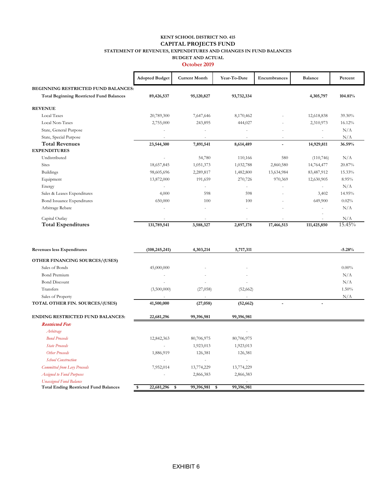#### **KENT SCHOOL DISTRICT NO. 415 STATEMENT OF REVENUES, EXPENDITURES AND CHANGES IN FUND BALANCES BUDGET AND ACTUAL CAPITAL PROJECTS FUND**

|                                                 | <b>Adopted Budget</b> | <b>Current Month</b>     | Year-To-Date | Encumbrances   | <b>Balance</b>           | Percent |
|-------------------------------------------------|-----------------------|--------------------------|--------------|----------------|--------------------------|---------|
| <b>BEGINNING RESTRICTED FUND BALANCES:</b>      |                       |                          |              |                |                          |         |
| <b>Total Beginning Restricted Fund Balances</b> | 89,426,537            | 95,120,827               | 93,732,334   |                | 4,305,797                | 104.81% |
| <b>REVENUE</b>                                  |                       |                          |              |                |                          |         |
| Local Taxes                                     | 20,789,300            | 7,647,646                | 8,170,462    |                | 12,618,838               | 39.30%  |
| Local Non-Taxes                                 | 2,755,000             | 243,895                  | 444,027      |                | 2,310,973                | 16.12%  |
| State, General Purpose                          |                       |                          |              |                | $\overline{a}$           | N/A     |
| State, Special Purpose                          |                       |                          |              |                |                          | N/A     |
| <b>Total Revenues</b>                           | 23,544,300            | 7,891,541                | 8,614,489    | $\blacksquare$ | 14,929,811               | 36.59%  |
| <b>EXPENDITURES</b>                             |                       |                          |              |                |                          |         |
| Undistributed                                   |                       | 54,780                   | 110,166      | 580            | (110,746)                | N/A     |
| <b>Sites</b>                                    | 18,657,845            | 1,051,373                | 1,032,788    | 2,860,580      | 14,764,477               | 20.87%  |
| <b>Buildings</b>                                | 98,605,696            | 2,289,817                | 1,482,800    | 13,634,984     | 83,487,912               | 15.33%  |
| Equipment                                       | 13,872,000            | 191,659                  | 270,726      | 970,369        | 12,630,905               | 8.95%   |
| Energy                                          |                       | $\overline{\phantom{a}}$ | ٠            | $\sim$         | $\overline{\phantom{a}}$ | N/A     |
| Sales & Leases Expenditures                     | 4,000                 | 598                      | 598          |                | 3,402                    | 14.95%  |
| Bond Issuance Expenditures                      | 650,000               | 100                      | 100          |                | 649,900                  | 0.02%   |
| Arbitrage Rebate                                |                       | ٠                        | ٠            |                | ٠                        | N/A     |
| Capital Outlay                                  |                       |                          |              |                |                          | N/A     |
| <b>Total Expenditures</b>                       | 131,789,541           | 3,588,327                | 2,897,178    | 17,466,513     | 111,425,850              | 15.45%  |

| Revenues less Expenditures                   | (108, 245, 241)              | 4,303,214         | 5,717,311  | $-5.28%$ |
|----------------------------------------------|------------------------------|-------------------|------------|----------|
| OTHER FINANCING SOURCES/(USES)               |                              |                   |            |          |
| Sales of Bonds                               | 45,000,000                   |                   |            | $0.00\%$ |
| <b>Bond Premium</b>                          |                              |                   |            | N/A      |
| <b>Bond Discount</b>                         |                              |                   | ٠          | N/A      |
| Transfers                                    | (3,500,000)                  | (27,058)          | (52, 662)  | 1.50%    |
| Sales of Property                            |                              | $\sim$            | ٠          | N/A      |
| TOTAL OTHER FIN. SOURCES/(USES)              | 41,500,000                   | (27,058)          | (52, 662)  |          |
| <b>ENDING RESTRICTED FUND BALANCES:</b>      | 22,681,296                   | 99,396,981        | 99,396,981 |          |
| <b>Restricted For:</b>                       |                              |                   |            |          |
| Arbitrage                                    |                              |                   |            |          |
| <b>Bond Proceeds</b>                         | 12,842,363                   | 80,706,975        | 80,706,975 |          |
| <b>State Proceeds</b>                        |                              | 1,923,013         | 1,923,013  |          |
| Other Proceeds                               | 1,886,919                    | 126,381           | 126,381    |          |
| <b>School Construction</b>                   | ٠                            | $\blacksquare$    | ٠          |          |
| Committed from Levy Proceeds                 | 7,952,014                    | 13,774,229        | 13,774,229 |          |
| <b>Assigned to Fund Purposes</b>             |                              | 2,866,383         | 2,866,383  |          |
| <b>Unassigned Fund Balance</b>               |                              |                   |            |          |
| <b>Total Ending Restricted Fund Balances</b> | $\overline{22,}681,296$<br>S | 99,396,981<br>-\$ | 99,396,981 |          |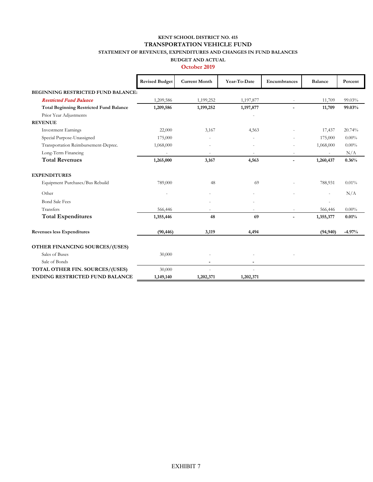#### **KENT SCHOOL DISTRICT NO. 415 STATEMENT OF REVENUES, EXPENDITURES AND CHANGES IN FUND BALANCES TRANSPORTATION VEHICLE FUND**

## **BUDGET AND ACTUAL**

|                                                | <b>Revised Budget</b> | <b>Current Month</b> | Year-To-Date | Encumbrances   | <b>Balance</b> | Percent  |
|------------------------------------------------|-----------------------|----------------------|--------------|----------------|----------------|----------|
| BEGINNING RESTRICTED FUND BALANCE:             |                       |                      |              |                |                |          |
| <b>Restricted Fund Balance</b>                 | 1,209,586             | 1,199,252            | 1,197,877    |                | 11,709         | 99.03%   |
| <b>Total Beginning Restricted Fund Balance</b> | 1,209,586             | 1,199,252            | 1,197,877    |                | 11,709         | 99.03%   |
| Prior Year Adjustments                         |                       |                      |              |                |                |          |
| <b>REVENUE</b>                                 |                       |                      |              |                |                |          |
| <b>Investment Earnings</b>                     | 22,000                | 3,167                | 4,563        |                | 17,437         | 20.74%   |
| Special Purpose-Unassigned                     | 175,000               |                      |              |                | 175,000        | $0.00\%$ |
| Transportation Reimbursement-Deprec.           | 1,068,000             |                      |              |                | 1,068,000      | $0.00\%$ |
| Long-Term Financing                            |                       |                      |              |                |                | N/A      |
| <b>Total Revenues</b>                          | 1,265,000             | 3,167                | 4,563        | $\overline{a}$ | 1,260,437      | 0.36%    |
| <b>EXPENDITURES</b>                            |                       |                      |              |                |                |          |
| Equipment Purchases/Bus Rebuild                | 789,000               | 48                   | 69           |                | 788,931        | 0.01%    |
| Other                                          |                       |                      |              |                |                | N/A      |
| <b>Bond Sale Fees</b>                          |                       |                      |              |                |                |          |
| Transfers                                      | 566,446               |                      |              |                | 566,446        | $0.00\%$ |
| <b>Total Expenditures</b>                      | 1,355,446             | 48                   | 69           |                | 1,355,377      | 0.01%    |
| <b>Revenues less Expenditures</b>              | (90, 446)             | 3,119                | 4,494        |                | (94, 940)      | $-4.97%$ |
| OTHER FINANCING SOURCES/(USES)                 |                       |                      |              |                |                |          |
| Sales of Buses                                 | 30,000                |                      |              |                |                |          |
| Sale of Bonds                                  |                       |                      |              |                |                |          |
| TOTAL OTHER FIN. SOURCES/(USES)                | 30,000                |                      |              |                |                |          |
| <b>ENDING RESTRICTED FUND BALANCE</b>          | 1,149,140             | 1,202,371            | 1,202,371    |                |                |          |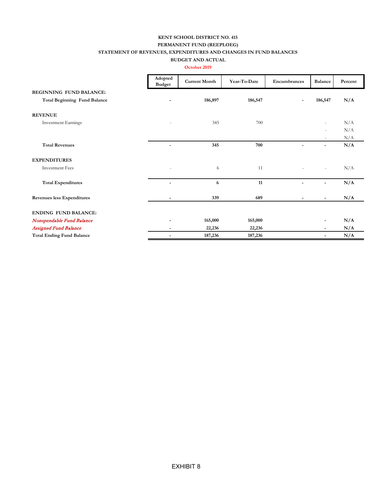#### **KENT SCHOOL DISTRICT NO. 415 STATEMENT OF REVENUES, EXPENDITURES AND CHANGES IN FUND BALANCES PERMANENT FUND (REEPLOEG)**

#### **BUDGET AND ACTUAL October 2019**

|                                     | Adopted                  |                      |              |                          |                          |         |
|-------------------------------------|--------------------------|----------------------|--------------|--------------------------|--------------------------|---------|
|                                     | <b>Budget</b>            | <b>Current Month</b> | Year-To-Date | Encumbrances             | Balance                  | Percent |
| <b>BEGINNING FUND BALANCE:</b>      |                          |                      |              |                          |                          |         |
| <b>Total Beginning Fund Balance</b> |                          | 186,897              | 186,547      |                          | 186,547                  | N/A     |
| <b>REVENUE</b>                      |                          |                      |              |                          |                          |         |
| <b>Investment Earnings</b>          |                          | 345                  | 700          |                          | $\overline{\phantom{a}}$ | N/A     |
|                                     |                          |                      |              |                          |                          | N/A     |
|                                     |                          |                      |              |                          |                          | N/A     |
| <b>Total Revenues</b>               | ٠                        | 345                  | 700          | $\overline{\phantom{a}}$ | $\overline{\phantom{a}}$ | N/A     |
| <b>EXPENDITURES</b>                 |                          |                      |              |                          |                          |         |
| <b>Investment Fees</b>              |                          | 6                    | 11           |                          | $\overline{\phantom{a}}$ | N/A     |
| <b>Total Expenditures</b>           | ÷                        | 6                    | 11           | -                        |                          | N/A     |
| Revenues less Expenditures          | -                        | 339                  | 689          | $\overline{\phantom{a}}$ | $\overline{\phantom{0}}$ | N/A     |
| <b>ENDING FUND BALANCE:</b>         |                          |                      |              |                          |                          |         |
| Nonspendable Fund Balance           |                          | 165,000              | 165,000      |                          |                          | N/A     |
| <b>Assigned Fund Balance</b>        | -                        | 22,236               | 22,236       |                          | $\overline{\phantom{0}}$ | N/A     |
| <b>Total Ending Fund Balance</b>    | $\overline{\phantom{0}}$ | 187,236              | 187,236      |                          | $\overline{\phantom{0}}$ | N/A     |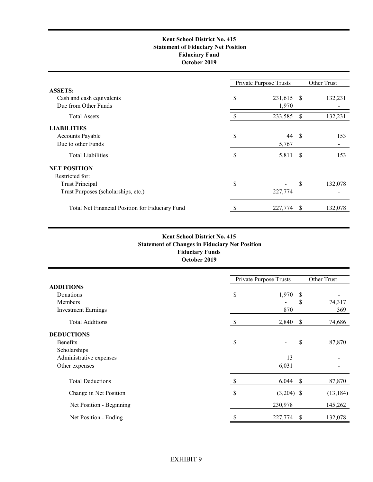#### **Kent School District No. 415 Statement of Fiduciary Net Position Fiduciary Fund October 2019**

|                                                 |    | Private Purpose Trusts |               | Other Trust |
|-------------------------------------------------|----|------------------------|---------------|-------------|
| <b>ASSETS:</b>                                  |    |                        |               |             |
| Cash and cash equivalents                       | \$ | 231,615                | -S            | 132,231     |
| Due from Other Funds                            |    | 1,970                  |               |             |
| <b>Total Assets</b>                             |    | 233,585                | \$            | 132,231     |
| <b>LIABILITIES</b>                              |    |                        |               |             |
| Accounts Payable                                | \$ | 44                     | S             | 153         |
| Due to other Funds                              |    | 5,767                  |               |             |
| <b>Total Liabilities</b>                        | -S | 5,811                  | <sup>\$</sup> | 153         |
| <b>NET POSITION</b>                             |    |                        |               |             |
| Restricted for:                                 |    |                        |               |             |
| <b>Trust Principal</b>                          | \$ |                        | S             | 132,078     |
| Trust Purposes (scholarships, etc.)             |    | 227,774                |               |             |
| Total Net Financial Position for Fiduciary Fund |    | 227,774                |               | 132,078     |

#### **Fiduciary Funds October 2019 Kent School District No. 415 Statement of Changes in Fiduciary Net Position**

|                            |    | Private Purpose Trusts |    | Other Trust |  |  |
|----------------------------|----|------------------------|----|-------------|--|--|
| <b>ADDITIONS</b>           |    |                        |    |             |  |  |
| Donations                  | \$ | 1,970                  | S  |             |  |  |
| Members                    |    |                        | \$ | 74,317      |  |  |
| <b>Investment Earnings</b> |    | 870                    |    | 369         |  |  |
| <b>Total Additions</b>     | S  | 2,840                  | \$ | 74,686      |  |  |
| <b>DEDUCTIONS</b>          |    |                        |    |             |  |  |
| <b>Benefits</b>            | \$ |                        | \$ | 87,870      |  |  |
| Scholarships               |    |                        |    |             |  |  |
| Administrative expenses    |    | 13                     |    |             |  |  |
| Other expenses             |    | 6,031                  |    |             |  |  |
| <b>Total Deductions</b>    | S  | 6,044                  | \$ | 87,870      |  |  |
| Change in Net Position     | \$ | $(3,204)$ \$           |    | (13, 184)   |  |  |
| Net Position - Beginning   |    | 230,978                |    | 145,262     |  |  |
| Net Position - Ending      |    | 227,774                | S  | 132,078     |  |  |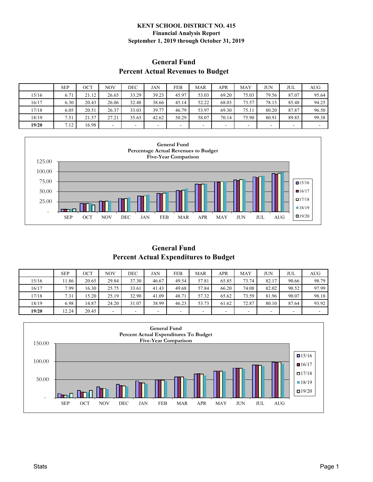#### **KENT SCHOOL DISTRICT NO. 415 Financial Analysis Report September 1, 2019 through October 31, 2019**

## **Percent Actual Revenues to Budget General Fund**

|       | <b>SEP</b> | OCT   | <b>NOV</b> | DEC   | JAN   | <b>FEB</b> | <b>MAR</b> | APR   | <b>MAY</b> | JUN    | JUL   | AUG    |
|-------|------------|-------|------------|-------|-------|------------|------------|-------|------------|--------|-------|--------|
| 15/16 | 6.71       | 21.12 | 26.65      | 33.29 | 39.23 | 45.97      | 53.03      | 69.20 | 75.03      | 79.56  | 87.07 | 95.64  |
| 16/17 | 6.30       | 20.43 | 26.06      | 32.48 | 38.66 | 45.14      | 52.22      | 68.03 | 73.57      | 78.13  | 85.48 | 94.25  |
| 17/18 | 6.05       | 20.51 | 26.37      | 33.03 | 39.77 | 46.79      | 53.97      | 69.30 | 75.11      | 80.20  | 87.87 | 96.50  |
| 18/19 | 7.51       | 21.57 | 27.21      | 35.63 | 42.62 | 50.29      | 58.07      | 70.14 | 75.90      | 80.91  | 89.85 | 99.38  |
| 19/20 | 7.12       | 16.98 |            |       |       | -          |            |       | -          | $\sim$ | -     | $\sim$ |



**General Fund Percent Actual Expenditures to Budget**

|       | <b>SEP</b> | ост   | <b>NOV</b> | DEC   | JAN                      | FEB                      | <b>MAR</b> | APR   | MAY   | JUN   | JUL                      | <b>AUG</b>               |
|-------|------------|-------|------------|-------|--------------------------|--------------------------|------------|-------|-------|-------|--------------------------|--------------------------|
| 15/16 | 1.86       | 20.65 | 29.84      | 37.30 | 46.67                    | 49.54                    | 57.81      | 65.85 | 73.74 | 82.17 | 90.66                    | 98.79                    |
| 16/17 | 7.99       | 16.30 | 25.75      | 33.61 | 41.43                    | 49.68                    | 57.84      | 66.20 | 74.08 | 82.02 | 90.52                    | 97.99                    |
| 17/18 | 7.31       | 15.20 | 25.19      | 32.90 | 41.09                    | 48.71                    | 57.32      | 65.62 | 73.59 | 81.96 | 90.07                    | 98.18                    |
| 18/19 | 6.98       | 14.87 | 24.20      | 31.07 | 38.99                    | 46.23                    | 53.73      | 61.62 | 72.87 | 80.10 | 87.64                    | 93.92                    |
| 19/20 | 12.24      | 20.45 |            | -     | $\overline{\phantom{a}}$ | $\overline{\phantom{a}}$ | ۰          |       |       | -     | $\overline{\phantom{0}}$ | $\overline{\phantom{a}}$ |